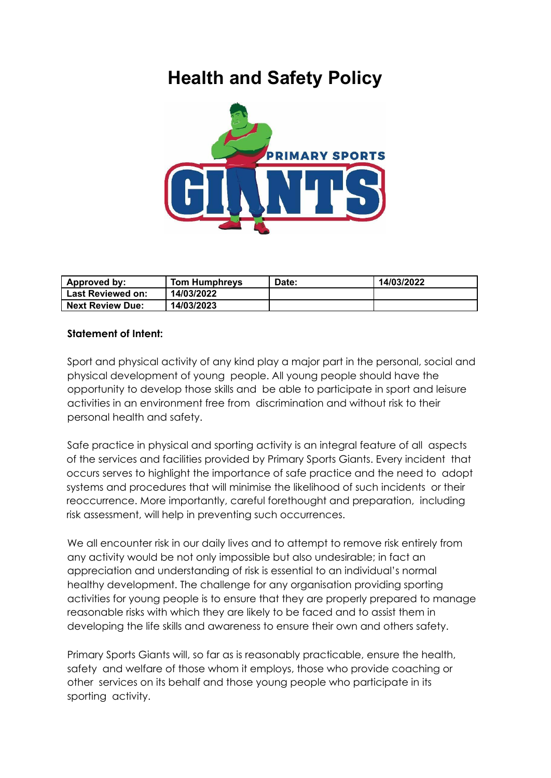# **Health and Safety Policy**



| <b>Approved by:</b>     | <b>Tom Humphreys</b> | Date: | 14/03/2022 |
|-------------------------|----------------------|-------|------------|
| Last Reviewed on:       | 14/03/2022           |       |            |
| <b>Next Review Due:</b> | 14/03/2023           |       |            |

#### **Statement of Intent:**

Sport and physical activity of any kind play a major part in the personal, social and physical development of young people. All young people should have the opportunity to develop those skills and be able to participate in sport and leisure activities in an environment free from discrimination and without risk to their personal health and safety.

Safe practice in physical and sporting activity is an integral feature of all aspects of the services and facilities provided by Primary Sports Giants. Every incident that occurs serves to highlight the importance of safe practice and the need to adopt systems and procedures that will minimise the likelihood of such incidents or their reoccurrence. More importantly, careful forethought and preparation, including risk assessment, will help in preventing such occurrences.

We all encounter risk in our daily lives and to attempt to remove risk entirely from any activity would be not only impossible but also undesirable; in fact an appreciation and understanding of risk is essential to an individual's normal healthy development. The challenge for any organisation providing sporting activities for young people is to ensure that they are properly prepared to manage reasonable risks with which they are likely to be faced and to assist them in developing the life skills and awareness to ensure their own and others safety.

Primary Sports Giants will, so far as is reasonably practicable, ensure the health, safety and welfare of those whom it employs, those who provide coaching or other services on its behalf and those young people who participate in its sporting activity.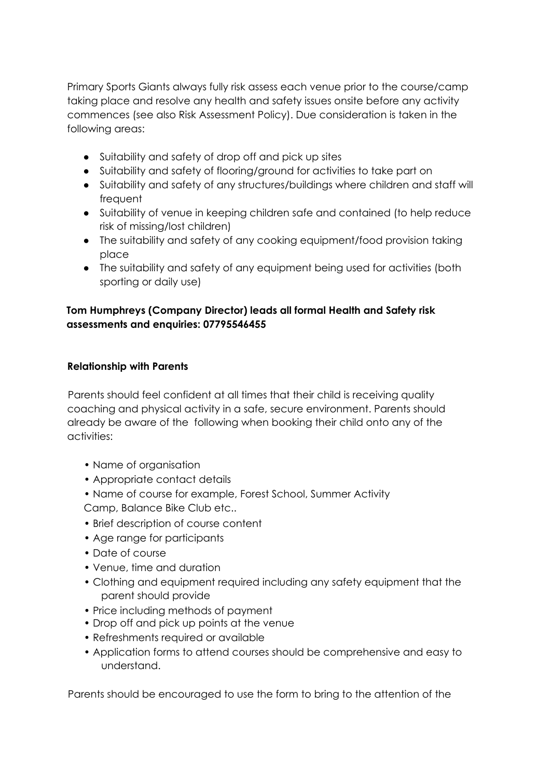Primary Sports Giants always fully risk assess each venue prior to the course/camp taking place and resolve any health and safety issues onsite before any activity commences (see also Risk Assessment Policy). Due consideration is taken in the following areas:

- Suitability and safety of drop off and pick up sites
- Suitability and safety of flooring/ground for activities to take part on
- Suitability and safety of any structures/buildings where children and staff will frequent
- Suitability of venue in keeping children safe and contained (to help reduce risk of missing/lost children)
- The suitability and safety of any cooking equipment/food provision taking place
- The suitability and safety of any equipment being used for activities (both sporting or daily use)

# **Tom Humphreys (Company Director) leads all formal Health and Safety risk assessments and enquiries: 07795546455**

#### **Relationship with Parents**

Parents should feel confident at all times that their child is receiving quality coaching and physical activity in a safe, secure environment. Parents should already be aware of the following when booking their child onto any of the activities:

- Name of organisation
- Appropriate contact details
- Name of course for example, Forest School, Summer Activity Camp, Balance Bike Club etc..
- Brief description of course content
- Age range for participants
- Date of course
- Venue, time and duration
- Clothing and equipment required including any safety equipment that the parent should provide
- Price including methods of payment
- Drop off and pick up points at the venue
- Refreshments required or available
- Application forms to attend courses should be comprehensive and easy to understand.

Parents should be encouraged to use the form to bring to the attention of the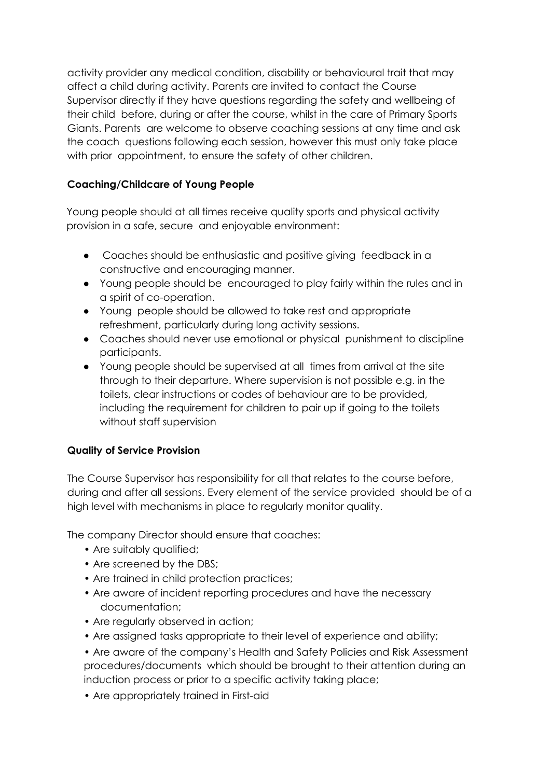activity provider any medical condition, disability or behavioural trait that may affect a child during activity. Parents are invited to contact the Course Supervisor directly if they have questions regarding the safety and wellbeing of their child before, during or after the course, whilst in the care of Primary Sports Giants. Parents are welcome to observe coaching sessions at any time and ask the coach questions following each session, however this must only take place with prior appointment, to ensure the safety of other children.

# **Coaching/Childcare of Young People**

Young people should at all times receive quality sports and physical activity provision in a safe, secure and enjoyable environment:

- Coaches should be enthusiastic and positive giving feedback in a constructive and encouraging manner.
- Young people should be encouraged to play fairly within the rules and in a spirit of co-operation.
- Young people should be allowed to take rest and appropriate refreshment, particularly during long activity sessions.
- Coaches should never use emotional or physical punishment to discipline participants.
- Young people should be supervised at all times from arrival at the site through to their departure. Where supervision is not possible e.g. in the toilets, clear instructions or codes of behaviour are to be provided, including the requirement for children to pair up if going to the toilets without staff supervision

# **Quality of Service Provision**

The Course Supervisor has responsibility for all that relates to the course before, during and after all sessions. Every element of the service provided should be of a high level with mechanisms in place to regularly monitor quality.

The company Director should ensure that coaches:

- Are suitably qualified;
- Are screened by the DBS;
- Are trained in child protection practices;
- Are aware of incident reporting procedures and have the necessary documentation;
- Are regularly observed in action;
- Are assigned tasks appropriate to their level of experience and ability;
- Are aware of the company's Health and Safety Policies and Risk Assessment procedures/documents which should be brought to their attention during an induction process or prior to a specific activity taking place;
- Are appropriately trained in First-aid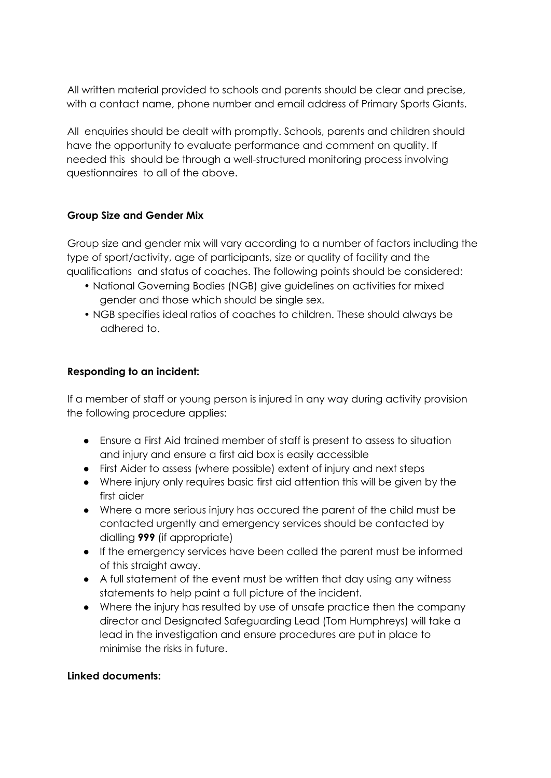All written material provided to schools and parents should be clear and precise, with a contact name, phone number and email address of Primary Sports Giants.

All enquiries should be dealt with promptly. Schools, parents and children should have the opportunity to evaluate performance and comment on quality. If needed this should be through a well-structured monitoring process involving questionnaires to all of the above.

#### **Group Size and Gender Mix**

Group size and gender mix will vary according to a number of factors including the type of sport/activity, age of participants, size or quality of facility and the qualifications and status of coaches. The following points should be considered:

- National Governing Bodies (NGB) give guidelines on activities for mixed gender and those which should be single sex.
- NGB specifies ideal ratios of coaches to children. These should always be adhered to.

# **Responding to an incident:**

If a member of staff or young person is injured in any way during activity provision the following procedure applies:

- Ensure a First Aid trained member of staff is present to assess to situation and injury and ensure a first aid box is easily accessible
- First Aider to assess (where possible) extent of injury and next steps
- Where injury only requires basic first aid attention this will be given by the first aider
- Where a more serious injury has occured the parent of the child must be contacted urgently and emergency services should be contacted by dialling **999** (if appropriate)
- If the emergency services have been called the parent must be informed of this straight away.
- A full statement of the event must be written that day using any witness statements to help paint a full picture of the incident.
- Where the injury has resulted by use of unsafe practice then the company director and Designated Safeguarding Lead (Tom Humphreys) will take a lead in the investigation and ensure procedures are put in place to minimise the risks in future.

#### **Linked documents:**